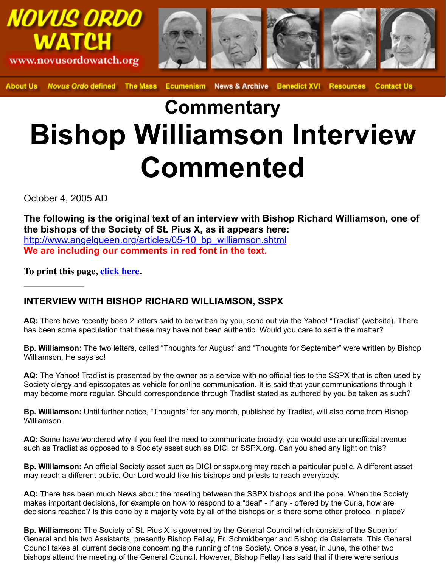## **Commentary Bishop Williamson Interv Commented**

October 4, 2005 AD

**The following is the original text of an interview with Bishop Richard Williar the bishops of the Society of St. Pius X, as it appears here:** http://www.angelqueen.org/articles/05-10\_bp\_williamson.shtml **We are including our comments in red font in the text.**

**To print this page, click here.**

## **INTERVIEW WITH BISHOP RICHARD WILLIAMSON, SSPX**

**AQ:** There have recently been 2 letters said to be written by you, send out via the Yahoo! "Tradlist" (website). [has been some speculation that these may have not been authentic. Would y](http://www.angelqueen.org/articles/05-10_bp_williamson.shtml)ou care to settle the m

**Bp. Williamson:** The two letters, called "Thoughts for August" and "Thoughts for September" were w Williamson, He says so!

AQ: The Yahoo! Tradl[ist is presen](http://novusordowatch.org/story100405print.htm)ted by the owner as a service with no official ties to the SSPX that Society clergy and episcopates as vehicle for online communication. It is said that your communications through it as  $S$ may become more regular. Should correspondence through Tradlist stated as authored by you be ta

**Bp. Williamson:** Until further notice, "Thoughts" for any month, published by Tradlist, will also come Williamson.

**AQ:** Some have wondered why if you feel the need to communicate broadly, you would use an unof such as Tradlist as opposed to a Society asset such as DICI or SSPX.org. Can you shed any light o

**Bp. Williamson:** An official Society asset such as DICI or sspx.org may reach a particular public. A may reach a different public. Our Lord would like his bishops and priests to reach everybody.

**AQ:** There has been much News about the meeting between the SSPX bishops and the pope. Whe makes important decisions, for example on how to respond to a "deal" - if any - offered by the Curia, decisions reached? Is this done by a majority vote by all of the bishops or is there some other protocol

**Bp. Williamson:** The Society of St. Pius X is governed by the General Council which consists of the General and his two Assistants, presently Bishop Fellay, Fr. Schmidberger and Bishop de Galarreta. Council takes all current decisions concerning the running of the Society. Once a year, in June, the other two bishops attend the meeting of the General Council. However, Bishop Fellay has said that if there we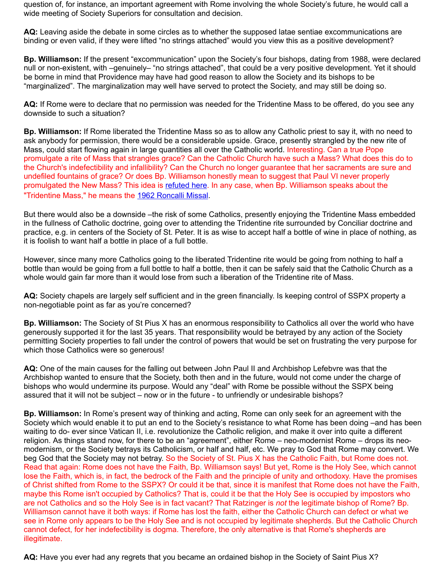AQ: If Rome were to declare that no permission was needed for the Tridentine Mass to be offered, do downside to such a situation?

**Bp. Williamson:** If Rome liberated the Tridentine Mass so as to allow any Catholic priest to say it, w ask anybody for permission, there would be a considerable upside. Grace, presently strangled by th Mass, could start flowing again in large quantities all over the Catholic world. Interesting. Can a true promulgate a rite of Mass that strangles grace? Can the Catholic Church have such a Mass? What the Church's indefectibility and infallibility? Can the Church no longer guarantee that her sacraments undefiled fountains of grace? Or does Bp. Williamson honestly mean to suggest that Paul VI never properly promulgated the New Mass? This idea is refuted here. In any case, when Bp. Williamson speaks ab "Tridentine Mass," he means the 1962 Roncalli Missal.

But there would also be a downside –the risk of some Catholics, presently enjoying the Tridentine M in the fullness of Catholic doctrine, going over to attending the Tridentine rite surrounded by Concilia practice, e.g. in centers of the Society of St. Peter. It is as wise to accept half a bottle of wine in place it is foolish to want half a bottle in place of a full bottle.

However, since many more Catholics going to the liberated Tridentine rite would be going from noth bottle than would be going from a full bottle to half a bottle, then it can be safely said that the Cathol whole would gain far more than it would l[ose from suc](http://www.traditionalmass.org/articles/article.php?id=19&catname=8)h a liberation of the Tridentine rite of Mass.

AQ: Society chapels are largely [self sufficient and in th](http://www.traditionalmass.org/articles/article.php?id=18&catname=6)e green financially. Is keeping control of SSP non-negotiable point as far as you're concerned?

**Bp. Williamson:** The Society of St Pius X has an enormous responsibility to Catholics all over the v generously supported it for the last 35 years. That responsibility would be betrayed by any action of permitting Society properties to fall under the control of powers that would be set on frustrating the very which those Catholics were so generous!

**AQ:** One of the main causes for the falling out between John Paul II and Archbishop Lefebvre was that the Archbishop wanted to ensure that the Society, both then and in the future, would not come under the bishops who would undermine its purpose. Would any "deal" with Rome be possible without the SSI assured that it will not be subject – now or in the future - to unfriendly or undesirable bishops?

**Bp. Williamson:** In Rome's present way of thinking and acting, Rome can only seek for an agreement Society which would enable it to put an end to the Society's resistance to what Rome has been doing waiting to do- ever since Vatican II, i.e. revolutionize the Catholic religion, and make it over into quite religion. As things stand now, for there to be an "agreement", either Rome – neo-modernist Rome – modernism, or the Society betrays its Catholicism, or half and half, etc. We pray to God that Rome r beg God that the Society may not betray. So the Society of St. Pius X has the Catholic Faith, but Ro Read that again: Rome does not have the Faith, Bp. Williamson says! But yet, Rome is the Holy See lose the Faith, which is, in fact, the bedrock of the Faith and the principle of unity and orthodoxy. Ha of Christ shifted from Rome to the SSPX? Or could it be that, since it is manifest that Rome does no maybe this Rome isn't occupied by Catholics? That is, could it be that the Holy See is occupied by in are not Catholics and so the Holy See is in fact vacant? That Ratzinger is *not* the legitimate bishop of Williamson cannot have it both ways: if Rome has lost the faith, either the Catholic Church can defe see in Rome only appears to be the Holy See and is not occupied by legitimate shepherds. But the cannot defect, for her indefectibility is dogma. Therefore, the only alternative is that Rome's shepher illegitimate.

AQ: Have you ever had any regrets that you became an ordained bishop in the Society of Saint Piu